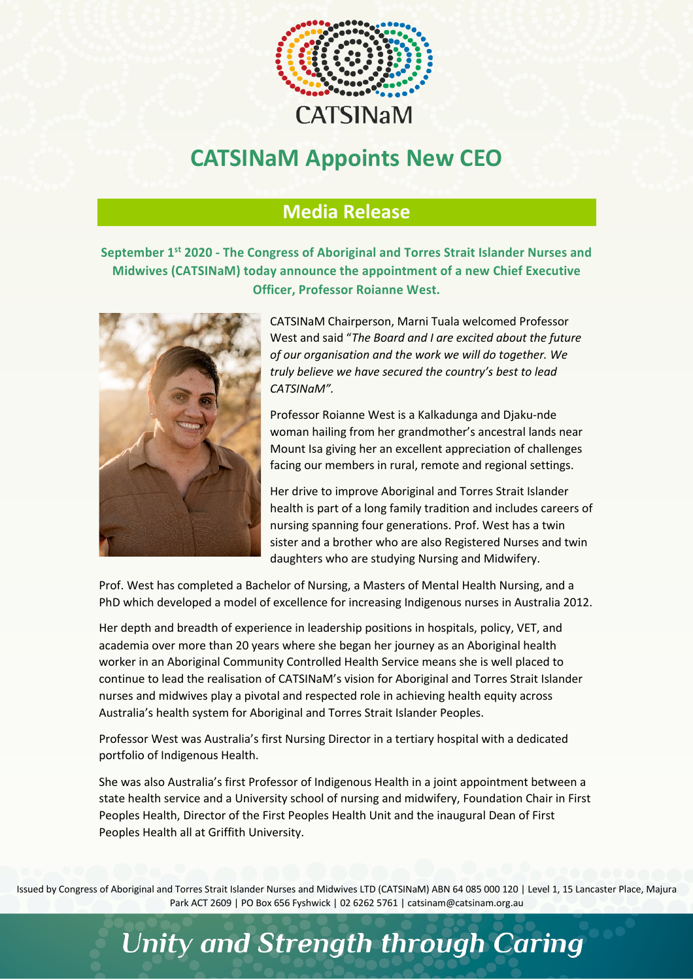

## **CATSINaM Appoints New CEO**

## **Media Release**

**September 1st 2020 - The Congress of Aboriginal and Torres Strait Islander Nurses and Midwives (CATSINaM) today announce the appointment of a new Chief Executive Officer, Professor Roianne West.**



CATSINaM Chairperson, Marni Tuala welcomed Professor West and said "*The Board and I are excited about the future of our organisation and the work we will do together. We truly believe we have secured the country's best to lead CATSINaM".*

Professor Roianne West is a Kalkadunga and Djaku-nde woman hailing from her grandmother's ancestral lands near Mount Isa giving her an excellent appreciation of challenges facing our members in rural, remote and regional settings.

Her drive to improve Aboriginal and Torres Strait Islander health is part of a long family tradition and includes careers of nursing spanning four generations. Prof. West has a twin sister and a brother who are also Registered Nurses and twin daughters who are studying Nursing and Midwifery.

Prof. West has completed a Bachelor of Nursing, a Masters of Mental Health Nursing, and a PhD which developed a model of excellence for increasing Indigenous nurses in Australia 2012.

Her depth and breadth of experience in leadership positions in hospitals, policy, VET, and academia over more than 20 years where she began her journey as an Aboriginal health worker in an Aboriginal Community Controlled Health Service means she is well placed to continue to lead the realisation of CATSINaM's vision for Aboriginal and Torres Strait Islander nurses and midwives play a pivotal and respected role in achieving health equity across Australia's health system for Aboriginal and Torres Strait Islander Peoples.

Professor West was Australia's first Nursing Director in a tertiary hospital with a dedicated portfolio of Indigenous Health.

She was also Australia's first Professor of Indigenous Health in a joint appointment between a state health service and a University school of nursing and midwifery, Foundation Chair in First Peoples Health, Director of the First Peoples Health Unit and the inaugural Dean of First Peoples Health all at Griffith University.

Issued by Congress of Aboriginal and Torres Strait Islander Nurses and Midwives LTD (CATSINaM) ABN 64 085 000 120 | Level 1, 15 Lancaster Place, Majura Park ACT 2609 | PO Box 656 Fyshwick | 02 6262 5761 | catsinam@catsinam.org.au

## **Unity and Strength through Caring**